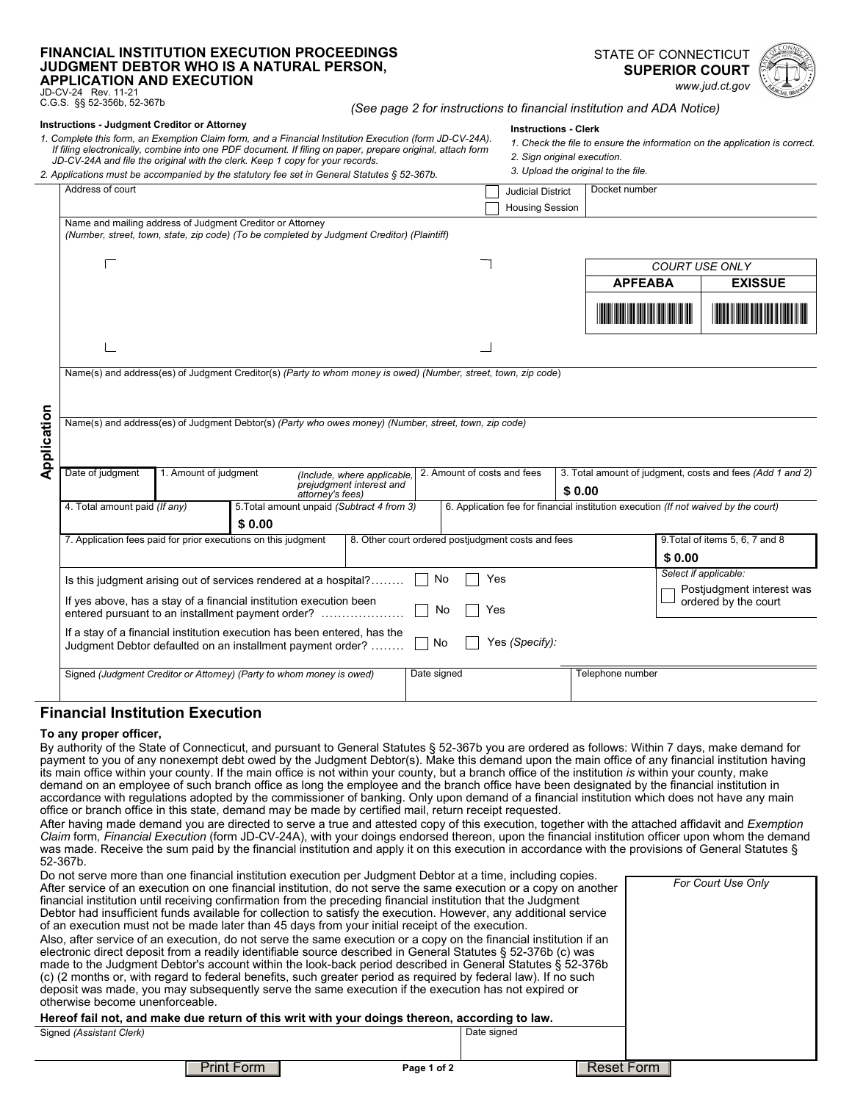## **FINANCIAL INSTITUTION EXECUTION PROCEEDINGS JUDGMENT DEBTOR WHO IS A NATURAL PERSON, APPLICATION AND EXECUTION**

JD-CV-24 Rev. 11-21<br>C.G.S. §§ 52-356b, 52-367b

(See page 2 for instructions to financial institution and ADA Notice)

| Instructions - Judgment Creditor or Attorney<br>1. Complete this form, an Exemption Claim form, and a Financial Institution Execution (form JD-CV-24A).<br>If filing electronically, combine into one PDF document. If filing on paper, prepare original, attach form<br>JD-CV-24A and file the original with the clerk. Keep 1 copy for your records.                                                                                                                                                                                                                                                                                                                                                                                                                                                                                                                                                                                                                                                                                                                                                                                                                                                                                                                                                                                                                  |                                                                                                                                                                                                                                                                                                                                                                                                                                                                                                                                                                                                                                                                                                                                                                                                                                                                                                                                                                                                                                                                                                                                                    |                                                                                                                                             |                                                         |                             | <b>Instructions - Clerk</b><br>1. Check the file to ensure the information on the application is correct.<br>2. Sign original execution. |                                              |                                                   |                                                           |  |  |
|-------------------------------------------------------------------------------------------------------------------------------------------------------------------------------------------------------------------------------------------------------------------------------------------------------------------------------------------------------------------------------------------------------------------------------------------------------------------------------------------------------------------------------------------------------------------------------------------------------------------------------------------------------------------------------------------------------------------------------------------------------------------------------------------------------------------------------------------------------------------------------------------------------------------------------------------------------------------------------------------------------------------------------------------------------------------------------------------------------------------------------------------------------------------------------------------------------------------------------------------------------------------------------------------------------------------------------------------------------------------------|----------------------------------------------------------------------------------------------------------------------------------------------------------------------------------------------------------------------------------------------------------------------------------------------------------------------------------------------------------------------------------------------------------------------------------------------------------------------------------------------------------------------------------------------------------------------------------------------------------------------------------------------------------------------------------------------------------------------------------------------------------------------------------------------------------------------------------------------------------------------------------------------------------------------------------------------------------------------------------------------------------------------------------------------------------------------------------------------------------------------------------------------------|---------------------------------------------------------------------------------------------------------------------------------------------|---------------------------------------------------------|-----------------------------|------------------------------------------------------------------------------------------------------------------------------------------|----------------------------------------------|---------------------------------------------------|-----------------------------------------------------------|--|--|
|                                                                                                                                                                                                                                                                                                                                                                                                                                                                                                                                                                                                                                                                                                                                                                                                                                                                                                                                                                                                                                                                                                                                                                                                                                                                                                                                                                         | 2. Applications must be accompanied by the statutory fee set in General Statutes § 52-367b.                                                                                                                                                                                                                                                                                                                                                                                                                                                                                                                                                                                                                                                                                                                                                                                                                                                                                                                                                                                                                                                        |                                                                                                                                             |                                                         |                             |                                                                                                                                          | 3. Upload the original to the file.          |                                                   |                                                           |  |  |
|                                                                                                                                                                                                                                                                                                                                                                                                                                                                                                                                                                                                                                                                                                                                                                                                                                                                                                                                                                                                                                                                                                                                                                                                                                                                                                                                                                         | Address of court                                                                                                                                                                                                                                                                                                                                                                                                                                                                                                                                                                                                                                                                                                                                                                                                                                                                                                                                                                                                                                                                                                                                   |                                                                                                                                             |                                                         |                             | <b>Judicial District</b><br><b>Housing Session</b>                                                                                       | Docket number                                |                                                   |                                                           |  |  |
|                                                                                                                                                                                                                                                                                                                                                                                                                                                                                                                                                                                                                                                                                                                                                                                                                                                                                                                                                                                                                                                                                                                                                                                                                                                                                                                                                                         | Name and mailing address of Judgment Creditor or Attorney<br>(Number, street, town, state, zip code) (To be completed by Judgment Creditor) (Plaintiff)                                                                                                                                                                                                                                                                                                                                                                                                                                                                                                                                                                                                                                                                                                                                                                                                                                                                                                                                                                                            |                                                                                                                                             |                                                         |                             |                                                                                                                                          |                                              |                                                   |                                                           |  |  |
|                                                                                                                                                                                                                                                                                                                                                                                                                                                                                                                                                                                                                                                                                                                                                                                                                                                                                                                                                                                                                                                                                                                                                                                                                                                                                                                                                                         | ┌                                                                                                                                                                                                                                                                                                                                                                                                                                                                                                                                                                                                                                                                                                                                                                                                                                                                                                                                                                                                                                                                                                                                                  |                                                                                                                                             |                                                         |                             |                                                                                                                                          |                                              |                                                   | <b>COURT USE ONLY</b>                                     |  |  |
|                                                                                                                                                                                                                                                                                                                                                                                                                                                                                                                                                                                                                                                                                                                                                                                                                                                                                                                                                                                                                                                                                                                                                                                                                                                                                                                                                                         |                                                                                                                                                                                                                                                                                                                                                                                                                                                                                                                                                                                                                                                                                                                                                                                                                                                                                                                                                                                                                                                                                                                                                    |                                                                                                                                             |                                                         |                             |                                                                                                                                          | <b>APFEABA</b>                               |                                                   | <b>EXISSUE</b>                                            |  |  |
|                                                                                                                                                                                                                                                                                                                                                                                                                                                                                                                                                                                                                                                                                                                                                                                                                                                                                                                                                                                                                                                                                                                                                                                                                                                                                                                                                                         |                                                                                                                                                                                                                                                                                                                                                                                                                                                                                                                                                                                                                                                                                                                                                                                                                                                                                                                                                                                                                                                                                                                                                    |                                                                                                                                             |                                                         |                             |                                                                                                                                          | <u> III Martin Martin Martin III Martin </u> |                                                   | <b>THE REAL PROPERTY</b>                                  |  |  |
|                                                                                                                                                                                                                                                                                                                                                                                                                                                                                                                                                                                                                                                                                                                                                                                                                                                                                                                                                                                                                                                                                                                                                                                                                                                                                                                                                                         |                                                                                                                                                                                                                                                                                                                                                                                                                                                                                                                                                                                                                                                                                                                                                                                                                                                                                                                                                                                                                                                                                                                                                    |                                                                                                                                             |                                                         |                             |                                                                                                                                          |                                              |                                                   |                                                           |  |  |
|                                                                                                                                                                                                                                                                                                                                                                                                                                                                                                                                                                                                                                                                                                                                                                                                                                                                                                                                                                                                                                                                                                                                                                                                                                                                                                                                                                         | Name(s) and address(es) of Judgment Creditor(s) (Party to whom money is owed) (Number, street, town, zip code)                                                                                                                                                                                                                                                                                                                                                                                                                                                                                                                                                                                                                                                                                                                                                                                                                                                                                                                                                                                                                                     |                                                                                                                                             |                                                         |                             |                                                                                                                                          |                                              |                                                   |                                                           |  |  |
| Application<br>Name(s) and address(es) of Judgment Debtor(s) (Party who owes money) (Number, street, town, zip code)                                                                                                                                                                                                                                                                                                                                                                                                                                                                                                                                                                                                                                                                                                                                                                                                                                                                                                                                                                                                                                                                                                                                                                                                                                                    |                                                                                                                                                                                                                                                                                                                                                                                                                                                                                                                                                                                                                                                                                                                                                                                                                                                                                                                                                                                                                                                                                                                                                    |                                                                                                                                             |                                                         |                             |                                                                                                                                          |                                              |                                                   |                                                           |  |  |
|                                                                                                                                                                                                                                                                                                                                                                                                                                                                                                                                                                                                                                                                                                                                                                                                                                                                                                                                                                                                                                                                                                                                                                                                                                                                                                                                                                         | Date of judgment<br>1. Amount of judgment                                                                                                                                                                                                                                                                                                                                                                                                                                                                                                                                                                                                                                                                                                                                                                                                                                                                                                                                                                                                                                                                                                          | attorney's fees)                                                                                                                            | (Include, where applicable,<br>prejudgment interest and | 2. Amount of costs and fees |                                                                                                                                          | \$0.00                                       |                                                   | 3. Total amount of judgment, costs and fees (Add 1 and 2) |  |  |
|                                                                                                                                                                                                                                                                                                                                                                                                                                                                                                                                                                                                                                                                                                                                                                                                                                                                                                                                                                                                                                                                                                                                                                                                                                                                                                                                                                         | 4. Total amount paid (If any)                                                                                                                                                                                                                                                                                                                                                                                                                                                                                                                                                                                                                                                                                                                                                                                                                                                                                                                                                                                                                                                                                                                      | 5. Total amount unpaid (Subtract 4 from 3)<br>6. Application fee for financial institution execution (If not waived by the court)<br>\$0.00 |                                                         |                             |                                                                                                                                          |                                              |                                                   |                                                           |  |  |
|                                                                                                                                                                                                                                                                                                                                                                                                                                                                                                                                                                                                                                                                                                                                                                                                                                                                                                                                                                                                                                                                                                                                                                                                                                                                                                                                                                         | 8. Other court ordered postjudgment costs and fees<br>7. Application fees paid for prior executions on this judgment                                                                                                                                                                                                                                                                                                                                                                                                                                                                                                                                                                                                                                                                                                                                                                                                                                                                                                                                                                                                                               |                                                                                                                                             |                                                         |                             | 9. Total of items 5, 6, 7 and 8<br>\$0.00                                                                                                |                                              |                                                   |                                                           |  |  |
|                                                                                                                                                                                                                                                                                                                                                                                                                                                                                                                                                                                                                                                                                                                                                                                                                                                                                                                                                                                                                                                                                                                                                                                                                                                                                                                                                                         |                                                                                                                                                                                                                                                                                                                                                                                                                                                                                                                                                                                                                                                                                                                                                                                                                                                                                                                                                                                                                                                                                                                                                    | No<br>Yes<br>Is this judgment arising out of services rendered at a hospital?                                                               |                                                         |                             |                                                                                                                                          |                                              |                                                   | Select if applicable:                                     |  |  |
|                                                                                                                                                                                                                                                                                                                                                                                                                                                                                                                                                                                                                                                                                                                                                                                                                                                                                                                                                                                                                                                                                                                                                                                                                                                                                                                                                                         | If yes above, has a stay of a financial institution execution been<br>No<br>Yes<br>entered pursuant to an installment payment order?                                                                                                                                                                                                                                                                                                                                                                                                                                                                                                                                                                                                                                                                                                                                                                                                                                                                                                                                                                                                               |                                                                                                                                             |                                                         |                             |                                                                                                                                          |                                              | Postjudgment interest was<br>ordered by the court |                                                           |  |  |
| If a stay of a financial institution execution has been entered, has the<br>Yes (Specify):<br>No<br>Judgment Debtor defaulted on an installment payment order?                                                                                                                                                                                                                                                                                                                                                                                                                                                                                                                                                                                                                                                                                                                                                                                                                                                                                                                                                                                                                                                                                                                                                                                                          |                                                                                                                                                                                                                                                                                                                                                                                                                                                                                                                                                                                                                                                                                                                                                                                                                                                                                                                                                                                                                                                                                                                                                    |                                                                                                                                             |                                                         |                             |                                                                                                                                          |                                              |                                                   |                                                           |  |  |
|                                                                                                                                                                                                                                                                                                                                                                                                                                                                                                                                                                                                                                                                                                                                                                                                                                                                                                                                                                                                                                                                                                                                                                                                                                                                                                                                                                         | Signed (Judgment Creditor or Attorney) (Party to whom money is owed)                                                                                                                                                                                                                                                                                                                                                                                                                                                                                                                                                                                                                                                                                                                                                                                                                                                                                                                                                                                                                                                                               |                                                                                                                                             |                                                         | Date signed                 |                                                                                                                                          | Telephone number                             |                                                   |                                                           |  |  |
|                                                                                                                                                                                                                                                                                                                                                                                                                                                                                                                                                                                                                                                                                                                                                                                                                                                                                                                                                                                                                                                                                                                                                                                                                                                                                                                                                                         | <b>Financial Institution Execution</b>                                                                                                                                                                                                                                                                                                                                                                                                                                                                                                                                                                                                                                                                                                                                                                                                                                                                                                                                                                                                                                                                                                             |                                                                                                                                             |                                                         |                             |                                                                                                                                          |                                              |                                                   |                                                           |  |  |
| To any proper officer,<br>By authority of the State of Connecticut, and pursuant to General Statutes § 52-367b you are ordered as follows: Within 7 days, make demand for<br>payment to you of any nonexempt debt owed by the Judgment Debtor(s). Make this demand upon the main office of any financial institution having<br>its main office within your county. If the main office is not within your county, but a branch office of the institution is within your county, make<br>demand on an employee of such branch office as long the employee and the branch office have been designated by the financial institution in<br>accordance with regulations adopted by the commissioner of banking. Only upon demand of a financial institution which does not have any main<br>office or branch office in this state, demand may be made by certified mail, return receipt requested.<br>After having made demand you are directed to serve a true and attested copy of this execution, together with the attached affidavit and Exemption<br>Claim form, Financial Execution (form JD-CV-24A), with your doings endorsed thereon, upon the financial institution officer upon whom the demand<br>was made. Receive the sum paid by the financial institution and apply it on this execution in accordance with the provisions of General Statutes §<br>52-367b. |                                                                                                                                                                                                                                                                                                                                                                                                                                                                                                                                                                                                                                                                                                                                                                                                                                                                                                                                                                                                                                                                                                                                                    |                                                                                                                                             |                                                         |                             |                                                                                                                                          |                                              |                                                   |                                                           |  |  |
|                                                                                                                                                                                                                                                                                                                                                                                                                                                                                                                                                                                                                                                                                                                                                                                                                                                                                                                                                                                                                                                                                                                                                                                                                                                                                                                                                                         | Do not serve more than one financial institution execution per Judgment Debtor at a time, including copies.<br>After service of an execution on one financial institution, do not serve the same execution or a copy on another<br>financial institution until receiving confirmation from the preceding financial institution that the Judgment<br>Debtor had insufficient funds available for collection to satisfy the execution. However, any additional service<br>of an execution must not be made later than 45 days from your initial receipt of the execution.<br>Also, after service of an execution, do not serve the same execution or a copy on the financial institution if an<br>electronic direct deposit from a readily identifiable source described in General Statutes § 52-376b (c) was<br>made to the Judgment Debtor's account within the look-back period described in General Statutes § 52-376b<br>(c) (2 months or, with regard to federal benefits, such greater period as required by federal law). If no such<br>deposit was made, you may subsequently serve the same execution if the execution has not expired or |                                                                                                                                             |                                                         |                             |                                                                                                                                          |                                              |                                                   | For Court Use Only                                        |  |  |
|                                                                                                                                                                                                                                                                                                                                                                                                                                                                                                                                                                                                                                                                                                                                                                                                                                                                                                                                                                                                                                                                                                                                                                                                                                                                                                                                                                         | otherwise become unenforceable.<br>Hereof fail not, and make due return of this writ with your doings thereon, according to law.                                                                                                                                                                                                                                                                                                                                                                                                                                                                                                                                                                                                                                                                                                                                                                                                                                                                                                                                                                                                                   |                                                                                                                                             |                                                         |                             |                                                                                                                                          |                                              |                                                   |                                                           |  |  |

## **Financial Institution Execution**

## **To any proper officer,**

| Do not serve more than one financial institution execution per Judgment Debtor at a time, including copies.<br>After service of an execution on one financial institution, do not serve the same execution or a copy on another<br>financial institution until receiving confirmation from the preceding financial institution that the Judgment<br>Debtor had insufficient funds available for collection to satisfy the execution. However, any additional service<br>of an execution must not be made later than 45 days from your initial receipt of the execution.<br>Also, after service of an execution, do not serve the same execution or a copy on the financial institution if an<br>electronic direct deposit from a readily identifiable source described in General Statutes § 52-376b (c) was<br>made to the Judgment Debtor's account within the look-back period described in General Statutes § 52-376b<br>(c) (2 months or, with regard to federal benefits, such greater period as required by federal law). If no such<br>deposit was made, you may subsequently serve the same execution if the execution has not expired or<br>otherwise become unenforceable. |                   | For Court Use Only |
|---------------------------------------------------------------------------------------------------------------------------------------------------------------------------------------------------------------------------------------------------------------------------------------------------------------------------------------------------------------------------------------------------------------------------------------------------------------------------------------------------------------------------------------------------------------------------------------------------------------------------------------------------------------------------------------------------------------------------------------------------------------------------------------------------------------------------------------------------------------------------------------------------------------------------------------------------------------------------------------------------------------------------------------------------------------------------------------------------------------------------------------------------------------------------------------|-------------------|--------------------|
| Hereof fail not, and make due return of this writ with your doings thereon, according to law.                                                                                                                                                                                                                                                                                                                                                                                                                                                                                                                                                                                                                                                                                                                                                                                                                                                                                                                                                                                                                                                                                         |                   |                    |
| Signed (Assistant Clerk)                                                                                                                                                                                                                                                                                                                                                                                                                                                                                                                                                                                                                                                                                                                                                                                                                                                                                                                                                                                                                                                                                                                                                              | Date signed       |                    |
|                                                                                                                                                                                                                                                                                                                                                                                                                                                                                                                                                                                                                                                                                                                                                                                                                                                                                                                                                                                                                                                                                                                                                                                       |                   |                    |
| <b>Print Form</b><br>Page 1 of 2                                                                                                                                                                                                                                                                                                                                                                                                                                                                                                                                                                                                                                                                                                                                                                                                                                                                                                                                                                                                                                                                                                                                                      | <b>Reset Form</b> |                    |